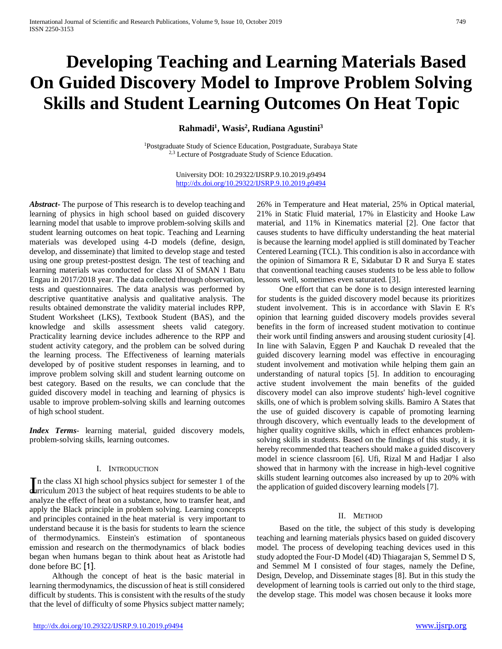# **Developing Teaching and Learning Materials Based On Guided Discovery Model to Improve Problem Solving Skills and Student Learning Outcomes On Heat Topic**

**Rahmadi<sup>1</sup> , Wasis<sup>2</sup> , Rudiana Agustini<sup>3</sup>**

<sup>1</sup>Postgraduate Study of Science Education, Postgraduate, Surabaya State <sup>2,3</sup> Lecture of Postgraduate Study of Science Education.

> University DOI: 10.29322/IJSRP.9.10.2019.p9494 <http://dx.doi.org/10.29322/IJSRP.9.10.2019.p9494>

*Abstract***-** The purpose of This research is to develop teaching and learning of physics in high school based on guided discovery learning model that usable to improve problem-solving skills and student learning outcomes on heat topic. Teaching and Learning materials was developed using 4-D models (define, design, develop, and disseminate) that limited to develop stage and tested using one group pretest-posttest design. The test of teaching and learning materials was conducted for class XI of SMAN 1 Batu Engau in 2017/2018 year. The data collected through observation, tests and questionnaires. The data analysis was performed by descriptive quantitative analysis and qualitative analysis. The results obtained demonstrate the validity material includes RPP, Student Worksheet (LKS), Textbook Student (BAS), and the knowledge and skills assessment sheets valid category. Practicality learning device includes adherence to the RPP and student activity category, and the problem can be solved during the learning process. The Effectiveness of learning materials developed by of positive student responses in learning, and to improve problem solving skill and student learning outcome on best category. Based on the results, we can conclude that the guided discovery model in teaching and learning of physics is usable to improve problem-solving skills and learning outcomes of high school student.

*Index Terms*- learning material, guided discovery models, problem-solving skills, learning outcomes.

## I. INTRODUCTION

In the class XI high school physics subject for semester 1 of the arriculum 2013 the subject of heat requires students to be able to **curriculum** 2013 the subject of heat requires students to be able to analyze the effect of heat on a substance, how to transfer heat, and apply the Black principle in problem solving. Learning concepts and principles contained in the heat material is very important to understand because it is the basis for students to learn the science of thermodynamics. Einstein's estimation of spontaneous emission and research on the thermodynamics of black bodies began when humans began to think about heat as Aristotle had done before BC [1].

Although the concept of heat is the basic material in learning thermodynamics, the discussion of heat is still considered difficult by students. This is consistent with the results of the study that the level of difficulty of some Physics subject matter namely;

26% in Temperature and Heat material, 25% in Optical material, 21% in Static Fluid material, 17% in Elasticity and Hooke Law material, and 11% in Kinematics material [2]. One factor that causes students to have difficulty understanding the heat material is because the learning model applied is still dominated by Teacher Centered Learning (TCL). This condition is also in accordance with the opinion of Simamora R E, Sidabutar D R and Surya E states that conventional teaching causes students to be less able to follow lessons well, sometimes even saturated. [3].

One effort that can be done is to design interested learning for students is the guided discovery model because its prioritizes student involvement. This is in accordance with Slavin E R's opinion that learning guided discovery models provides several benefits in the form of increased student motivation to continue their work until finding answers and arousing student curiosity [4]. In line with Salavin, Eggen P and Kauchak D revealed that the guided discovery learning model was effective in encouraging student involvement and motivation while helping them gain an understanding of natural topics [5]. In addition to encouraging active student involvement the main benefits of the guided discovery model can also improve students' high-level cognitive skills, one of which is problem solving skills. Bamiro A States that the use of guided discovery is capable of promoting learning through discovery, which eventually leads to the development of higher quality cognitive skills, which in effect enhances problemsolving skills in students. Based on the findings of this study, it is hereby recommended that teachers should make a guided discovery model in science classroom [6]. Ufi, Rizal M and Hadjar I also showed that in harmony with the increase in high-level cognitive skills student learning outcomes also increased by up to 20% with the application of guided discovery learning models [7].

## II. METHOD

Based on the title, the subject of this study is developing teaching and learning materials physics based on guided discovery model. The process of developing teaching devices used in this study adopted the Four-D Model (4D) Thiagarajan S, Semmel D S, and Semmel M I consisted of four stages, namely the Define, Design, Develop, and Disseminate stages [8]. But in this study the development of learning tools is carried out only to the third stage, the develop stage. This model was chosen because it looks more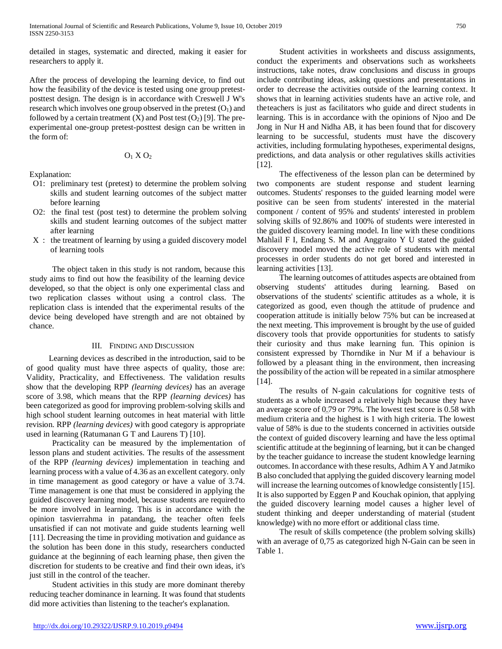detailed in stages, systematic and directed, making it easier for researchers to apply it.

After the process of developing the learning device, to find out how the feasibility of the device is tested using one group pretestposttest design. The design is in accordance with Creswell J W's research which involves one group observed in the pretest  $(O<sub>1</sub>)$  and followed by a certain treatment  $(X)$  and Post test  $(O_2)$  [9]. The preexperimental one-group pretest-posttest design can be written in the form of:

$$
O_1\,X\,O_2
$$

Explanation:

- O1: preliminary test (pretest) to determine the problem solving skills and student learning outcomes of the subject matter before learning
- O2: the final test (post test) to determine the problem solving skills and student learning outcomes of the subject matter after learning
- X : the treatment of learning by using a guided discovery model of learning tools

The object taken in this study is not random, because this study aims to find out how the feasibility of the learning device developed, so that the object is only one experimental class and two replication classes without using a control class. The replication class is intended that the experimental results of the device being developed have strength and are not obtained by chance.

## III. FINDING AND DISCUSSION

Learning devices as described in the introduction, said to be of good quality must have three aspects of quality, those are: Validity, Practicality, and Effectiveness. The validation results show that the developing RPP *(learning devices)* has an average score of 3.98, which means that the RPP *(learning devices)* has been categorized as good for improving problem-solving skills and high school student learning outcomes in heat material with little revision. RPP *(learning devices)* with good category is appropriate used in learning (Ratumanan G T and Laurens T) [10].

Practicality can be measured by the implementation of lesson plans and student activities. The results of the assessment of the RPP *(learning devices)* implementation in teaching and learning process with a value of 4.36 as an excellent category. only in time management as good category or have a value of 3.74. Time management is one that must be considered in applying the guided discovery learning model, because students are requiredto be more involved in learning. This is in accordance with the opinion tasvierrahma in patandang, the teacher often feels unsatisfied if can not motivate and guide students learning well [11]. Decreasing the time in providing motivation and guidance as the solution has been done in this study, researchers conducted guidance at the beginning of each learning phase, then given the discretion for students to be creative and find their own ideas, it's just still in the control of the teacher.

Student activities in this study are more dominant thereby reducing teacher dominance in learning. It was found that students did more activities than listening to the teacher's explanation.

Student activities in worksheets and discuss assignments, conduct the experiments and observations such as worksheets instructions, take notes, draw conclusions and discuss in groups include contributing ideas, asking questions and presentations in order to decrease the activities outside of the learning context. It shows that in learning activities students have an active role, and theteachers is just as facilitators who guide and direct students in learning. This is in accordance with the opinions of Njoo and De Jong in Nur H and Nidha AB, it has been found that for discovery learning to be successful, students must have the discovery activities, including formulating hypotheses, experimental designs, predictions, and data analysis or other regulatives skills activities [12].

The effectiveness of the lesson plan can be determined by two components are student response and student learning outcomes. Students' responses to the guided learning model were positive can be seen from students' interested in the material component / content of 95% and students' interested in problem solving skills of 92.86% and 100% of students were interested in the guided discovery learning model. In line with these conditions Mahlail F I, Endang S. M and Anggraito Y U stated the guided discovery model moved the active role of students with mental processes in order students do not get bored and interested in learning activities [13].

The learning outcomes of attitudes aspects are obtained from observing students' attitudes during learning. Based on observations of the students' scientific attitudes as a whole, it is categorized as good, even though the attitude of prudence and cooperation attitude is initially below 75% but can be increased at the next meeting. This improvement is brought by the use of guided discovery tools that provide opportunities for students to satisfy their curiosity and thus make learning fun. This opinion is consistent expressed by Thorndike in Nur M if a behaviour is followed by a pleasant thing in the environment, then increasing the possibility of the action will be repeated in a similar atmosphere [14].

The results of N-gain calculations for cognitive tests of students as a whole increased a relatively high because they have an average score of 0.79 or 79%. The lowest test score is 0.58 with medium criteria and the highest is 1 with high criteria. The lowest value of 58% is due to the students concerned in activities outside the context of guided discovery learning and have the less optimal scientific attitude at the beginning of learning, but it can be changed by the teacher guidance to increase the student knowledge learning outcomes. In accordance with these results, Adhim AY and Jatmiko B also concluded that applying the guided discovery learning model will increase the learning outcomes of knowledge consistently [15]. It is also supported by Eggen P and Kouchak opinion, that applying the guided discovery learning model causes a higher level of student thinking and deeper understanding of material (student knowledge) with no more effort or additional class time.

The result of skills competence (the problem solving skills) with an average of 0,75 as categorized high N-Gain can be seen in Table 1.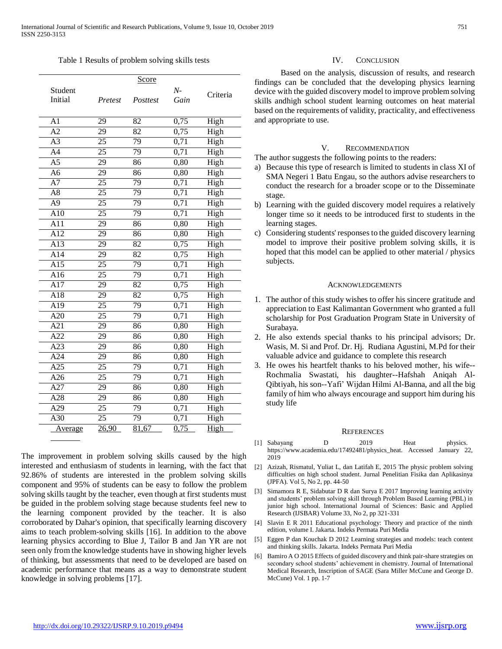#### Table 1 Results of problem solving skills tests

|                  |                 | Score           |      |          |
|------------------|-----------------|-----------------|------|----------|
| Student          |                 |                 | $N-$ | Criteria |
| Initial          | Pretest         | Posttest        | Gain |          |
|                  |                 |                 |      |          |
| $\overline{A1}$  | 29              | 82              | 0,75 | High     |
| $\overline{A2}$  | 29              | 82              | 0,75 | High     |
| $\overline{A3}$  | $\overline{25}$ | 79              | 0,71 | High     |
| A <sub>4</sub>   | 25              | 79              | 0,71 | High     |
| $\overline{A5}$  | $\overline{29}$ | 86              | 0,80 | High     |
| A <sub>6</sub>   | $\overline{29}$ | 86              | 0,80 | High     |
| $\overline{A7}$  | 25              | 79              | 0,71 | High     |
| $\overline{A8}$  | $\overline{25}$ | 79              | 0,71 | High     |
| $\overline{A9}$  | $\overline{25}$ | 79              | 0,71 | High     |
| A10              | $\overline{25}$ | 79              | 0,71 | High     |
| $\overline{A11}$ | 29              | 86              | 0,80 | High     |
| $\overline{A12}$ | $\overline{29}$ | $\overline{86}$ | 0,80 | High     |
| A13              | 29              | 82              | 0,75 | High     |
| A14              | $\overline{29}$ | $\overline{82}$ | 0,75 | High     |
| $\overline{A15}$ | $\overline{25}$ | 79              | 0,71 | High     |
| A16              | $\overline{25}$ | $\overline{79}$ | 0,71 | High     |
| $\overline{A17}$ | $\overline{29}$ | $\overline{82}$ | 0,75 | High     |
| A18              | 29              | 82              | 0,75 | High     |
| $\overline{A19}$ | $\overline{25}$ | 79              | 0,71 | High     |
| A20              | 25              | 79              | 0,71 | High     |
| A21              | 29              | 86              | 0,80 | High     |
| A22              | $\overline{29}$ | $\overline{86}$ | 0,80 | High     |
| A23              | 29              | $\overline{86}$ | 0,80 | High     |
| A24              | 29              | 86              | 0,80 | High     |
| $\overline{A25}$ | $\overline{25}$ | 79              | 0,71 | High     |
| A26              | 25              | 79              | 0,71 | High     |
| $\overline{A27}$ | $\overline{29}$ | $\overline{86}$ | 0,80 | High     |
| $\overline{A28}$ | $\overline{29}$ | 86              | 0,80 | High     |
| $\overline{A29}$ | $\overline{25}$ | $\overline{79}$ | 0,71 | High     |
| $\overline{A30}$ | $\overline{25}$ | $\overline{79}$ | 0,71 | High     |
| Average          | 26,90           | 81,67           | 0,75 | High     |
|                  |                 |                 |      |          |

The improvement in problem solving skills caused by the high interested and enthusiasm of students in learning, with the fact that 92.86% of students are interested in the problem solving skills component and 95% of students can be easy to follow the problem solving skills taught by the teacher, even though at first students must be guided in the problem solving stage because students feel new to the learning component provided by the teacher. It is also corroborated by Dahar's opinion, that specifically learning discovery aims to teach problem-solving skills [16]. In addition to the above learning physics according to Blue J, Tailor B and Jan YR are not seen only from the knowledge students have in showing higher levels of thinking, but assessments that need to be developed are based on academic performance that means as a way to demonstrate student knowledge in solving problems [17].

## IV. CONCLUSION

Based on the analysis, discussion of results, and research findings can be concluded that the developing physics learning device with the guided discovery model to improve problem solving skills andhigh school student learning outcomes on heat material based on the requirements of validity, practicality, and effectiveness and appropriate to use.

# V. RECOMMENDATION

The author suggests the following points to the readers:

- a) Because this type of research is limited to students in class XI of SMA Negeri 1 Batu Engau, so the authors advise researchers to conduct the research for a broader scope or to the Disseminate stage.
- b) Learning with the guided discovery model requires a relatively longer time so it needs to be introduced first to students in the learning stages.
- c) Considering students' responses to the guided discovery learning model to improve their positive problem solving skills, it is hoped that this model can be applied to other material / physics subjects.

#### ACKNOWLEDGEMENTS

- 1. The author of this study wishes to offer his sincere gratitude and appreciation to East Kalimantan Government who granted a full scholarship for Post Graduation Program State in University of Surabaya.
- 2. He also extends special thanks to his principal advisors; Dr. Wasis, M. Si and Prof. Dr. Hj. Rudiana Agustini, M.Pd for their valuable advice and guidance to complete this research
- 3. He owes his heartfelt thanks to his beloved mother, his wife-- Rochmalia Swastati, his daughter--Hafshah Aniqah Al-Qibtiyah, his son--Yafi' Wijdan Hilmi Al-Banna, and all the big family of him who always encourage and support him during his study life

#### **REFERENCES**

- [1] Sabayang D 2019 Heat physics. htt[ps://www.academia.edu/17492481/physics\\_heat.](http://www.academia.edu/17492481/physics_heat) Accessed January 22, 2019
- [2] Azizah, Rismatul, Yuliat L, dan Latifah E, 2015 The physic problem solving difficulties on high school student. Jurnal Penelitian Fisika dan Aplikasinya (JPFA). Vol 5, No 2, pp. 44-50
- [3] Simamora R E, Sidabutar D R dan Surya E 2017 Improving learning activity and students' problem solving skill through Problem Based Learning (PBL) in junior high school. International Journal of Sciences: Basic and Applied Research (IJSBAR) Volume 33, No 2, pp 321-331
- [4] Slavin E R 2011 Educational psychology: Theory and practice of the ninth edition, volume I. Jakarta. Indeks Permata Puri Media
- [5] Eggen P dan Kouchak D 2012 Learning strategies and models: teach content and thinking skills. Jakarta. Indeks Permata Puri Media
- [6] Bamiro A O 2015 Effects of guided discovery and think pair-share strategies on secondary school students' achievement in chemistry. Journal of International Medical Research, Inscription of SAGE (Sara Miller McCune and George D. McCune) Vol. 1 pp. 1-7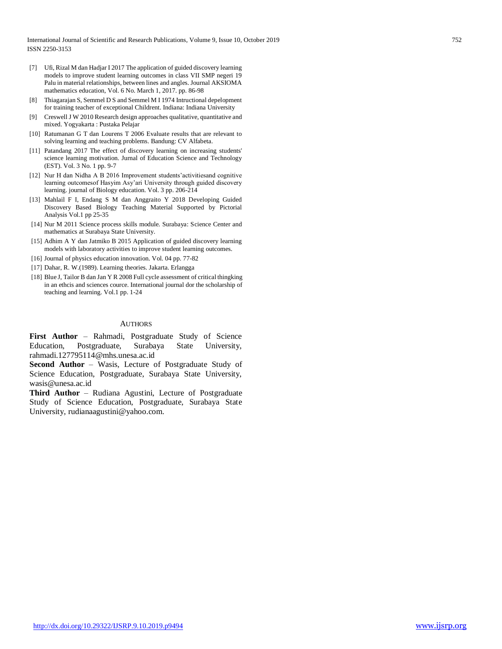- [7] Ufi, Rizal M dan Hadjar I 2017 The application of guided discovery learning models to improve student learning outcomes in class VII SMP negeri 19 Palu in material relationships, between lines and angles. Journal AKSIOMA mathematics education, Vol. 6 No. March 1, 2017. pp. 86-98
- [8] Thiagarajan S, Semmel D S and Semmel M I 1974 Intructional depelopment for training teacher of exceptional Childrent. Indiana: Indiana University
- [9] Creswell J W 2010 Research design approaches qualitative, quantitative and mixed. Yogyakarta : Pustaka Pelajar
- [10] Ratumanan G T dan Lourens T 2006 Evaluate results that are relevant to solving learning and teaching problems. Bandung: CV Alfabeta.
- [11] Patandang 2017 The effect of discovery learning on increasing students' science learning motivation. Jurnal of Education Science and Technology (EST). Vol. 3 No. 1 pp. 9-7
- [12] Nur H dan Nidha A B 2016 Improvement students'activitiesand cognitive learning outcomesof Hasyim Asy'ari University through guided discovery learning. journal of Biology education. Vol. 3 pp. 206-214
- [13] Mahlail F I, Endang S M dan Anggraito Y 2018 Developing Guided Discovery Based Biology Teaching Material Supported by Pictorial Analysis Vol.1 pp 25-35
- [14] Nur M 2011 Science process skills module. Surabaya: Science Center and mathematics at Surabaya State University.
- [15] Adhim A Y dan Jatmiko B 2015 Application of guided discovery learning models with laboratory activities to improve student learning outcomes.
- [16] Journal of physics education innovation. Vol. 04 pp. 77-82
- [17] Dahar, R. W.(1989). Learning theories. Jakarta. Erlangga
- [18] Blue J, Tailor B dan Jan Y R 2008 Full cycle assessment of critical thingking in an ethcis and sciences cource. International journal dor the scholarship of teaching and learning. Vol.1 pp. 1-24

#### AUTHORS

**First Author** – Rahmadi, Postgraduate Study of Science Education, Postgraduate, Surabaya State University, [rahmadi.127795114@mhs.unesa.ac.id](mailto:rahmadi.127795114@mhs.unesa.ac.id)

**Second Author** – Wasis, Lecture of Postgraduate Study of Science Education, Postgraduate, Surabaya State University, [wasis@unesa.ac.id](mailto:wasis@unesa.ac.id)

**Third Author** – Rudiana Agustini, Lecture of Postgraduate Study of Science Education, Postgraduate, Surabaya State University, [rudianaagustini@yahoo.com.](mailto:rudianaagustini@yahoo.com)